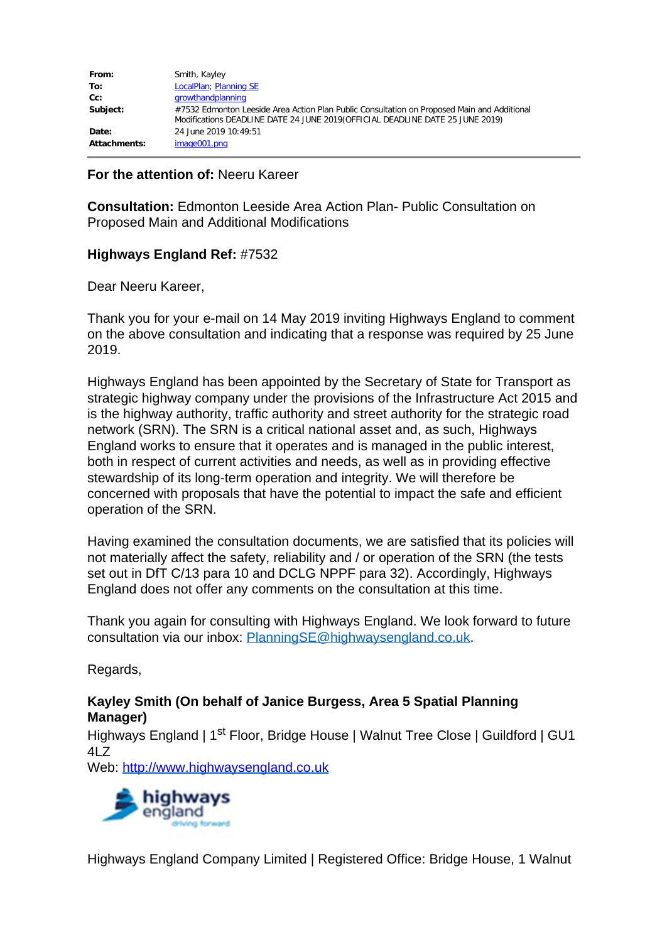| From:               | Smith, Kayley                                                                               |
|---------------------|---------------------------------------------------------------------------------------------|
| To:                 | LocalPlan; Planning SE                                                                      |
| $Cc$ :              | growthandplanning                                                                           |
| Subject:            | #7532 Edmonton Leeside Area Action Plan Public Consultation on Proposed Main and Additional |
|                     | Modifications DEADLINE DATE 24 JUNE 2019 (OFFICIAL DEADLINE DATE 25 JUNE 2019)              |
| Date:               | 24 June 2019 10:49:51                                                                       |
| <b>Attachments:</b> | image001.png                                                                                |

## **For the attention of:** Neeru Kareer

**Consultation:** Edmonton Leeside Area Action Plan- Public Consultation on Proposed Main and Additional Modifications

## **Highways England Ref:** #7532

Dear Neeru Kareer,

Thank you for your e-mail on 14 May 2019 inviting Highways England to comment on the above consultation and indicating that a response was required by 25 June 2019.

Highways England has been appointed by the Secretary of State for Transport as strategic highway company under the provisions of the Infrastructure Act 2015 and is the highway authority, traffic authority and street authority for the strategic road network (SRN). The SRN is a critical national asset and, as such, Highways England works to ensure that it operates and is managed in the public interest, both in respect of current activities and needs, as well as in providing effective stewardship of its long-term operation and integrity. We will therefore be concerned with proposals that have the potential to impact the safe and efficient operation of the SRN.

Having examined the consultation documents, we are satisfied that its policies will not materially affect the safety, reliability and / or operation of the SRN (the tests set out in DfT C/13 para 10 and DCLG NPPF para 32). Accordingly, Highways England does not offer any comments on the consultation at this time.

Thank you again for consulting with Highways England. We look forward to future consultation via our inbox: [PlanningSE@highwaysengland.co.uk.](mailto:PlanningSE@highwaysengland.co.uk)

Regards,

## **Kayley Smith (On behalf of Janice Burgess, Area 5 Spatial Planning Manager)**

Highways England | 1<sup>st</sup> Floor, Bridge House | Walnut Tree Close | Guildford | GU1 4LZ

[Web:](http://highwaysengland.co.uk/) [http://www.highwaysengland.co.uk](http://www.highwaysengland.co.uk/)



Highways England Company Limited | Registered Office: Bridge House, 1 Walnut